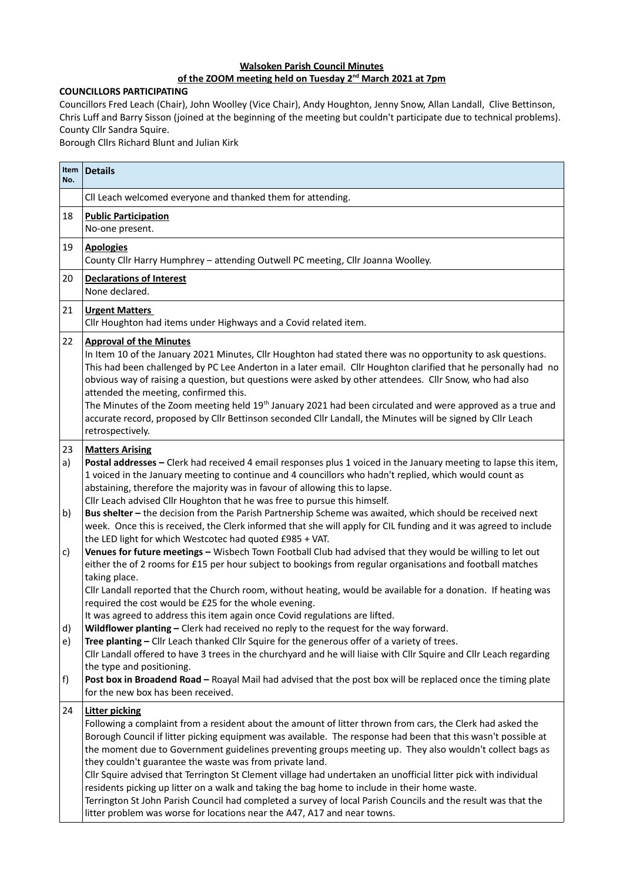## **Walsoken Parish Council Minutes**

## **of the ZOOM meeting held on Tuesday 2nd March 2021 at 7pm**

## **COUNCILLORS PARTICIPATING**

Councillors Fred Leach (Chair), John Woolley (Vice Chair), Andy Houghton, Jenny Snow, Allan Landall, Clive Bettinson, Chris Luff and Barry Sisson (joined at the beginning of the meeting but couldn't participate due to technical problems). County Cllr Sandra Squire.

Borough Cllrs Richard Blunt and Julian Kirk

| Item $ $<br>No. | <b>Details</b>                                                                                                                                                                                                                                                                                                                                                                                                                                                                                                                                                                                                                                                                                                                                                                                                                                |
|-----------------|-----------------------------------------------------------------------------------------------------------------------------------------------------------------------------------------------------------------------------------------------------------------------------------------------------------------------------------------------------------------------------------------------------------------------------------------------------------------------------------------------------------------------------------------------------------------------------------------------------------------------------------------------------------------------------------------------------------------------------------------------------------------------------------------------------------------------------------------------|
|                 | Cll Leach welcomed everyone and thanked them for attending.                                                                                                                                                                                                                                                                                                                                                                                                                                                                                                                                                                                                                                                                                                                                                                                   |
| 18              | <b>Public Participation</b><br>No-one present.                                                                                                                                                                                                                                                                                                                                                                                                                                                                                                                                                                                                                                                                                                                                                                                                |
| 19              | <b>Apologies</b><br>County Cllr Harry Humphrey - attending Outwell PC meeting, Cllr Joanna Woolley.                                                                                                                                                                                                                                                                                                                                                                                                                                                                                                                                                                                                                                                                                                                                           |
| 20              | <b>Declarations of Interest</b><br>None declared.                                                                                                                                                                                                                                                                                                                                                                                                                                                                                                                                                                                                                                                                                                                                                                                             |
| 21              | <b>Urgent Matters</b><br>Cllr Houghton had items under Highways and a Covid related item.                                                                                                                                                                                                                                                                                                                                                                                                                                                                                                                                                                                                                                                                                                                                                     |
| 22              | <b>Approval of the Minutes</b><br>In Item 10 of the January 2021 Minutes, Cllr Houghton had stated there was no opportunity to ask questions.<br>This had been challenged by PC Lee Anderton in a later email. Cllr Houghton clarified that he personally had no<br>obvious way of raising a question, but questions were asked by other attendees. Cllr Snow, who had also<br>attended the meeting, confirmed this.<br>The Minutes of the Zoom meeting held 19 <sup>th</sup> January 2021 had been circulated and were approved as a true and<br>accurate record, proposed by Cllr Bettinson seconded Cllr Landall, the Minutes will be signed by Cllr Leach<br>retrospectively.                                                                                                                                                             |
| 23<br>a)<br>b)  | <b>Matters Arising</b><br>Postal addresses - Clerk had received 4 email responses plus 1 voiced in the January meeting to lapse this item,<br>1 voiced in the January meeting to continue and 4 councillors who hadn't replied, which would count as<br>abstaining, therefore the majority was in favour of allowing this to lapse.<br>Cllr Leach advised Cllr Houghton that he was free to pursue this himself.<br>Bus shelter - the decision from the Parish Partnership Scheme was awaited, which should be received next<br>week. Once this is received, the Clerk informed that she will apply for CIL funding and it was agreed to include<br>the LED light for which Westcotec had quoted £985 + VAT.                                                                                                                                  |
| C)<br>d)<br>e)  | Venues for future meetings - Wisbech Town Football Club had advised that they would be willing to let out<br>either the of 2 rooms for £15 per hour subject to bookings from regular organisations and football matches<br>taking place.<br>Cllr Landall reported that the Church room, without heating, would be available for a donation. If heating was<br>required the cost would be £25 for the whole evening.<br>It was agreed to address this item again once Covid regulations are lifted.<br>Wildflower planting - Clerk had received no reply to the request for the way forward.<br>Tree planting - Cllr Leach thanked Cllr Squire for the generous offer of a variety of trees.                                                                                                                                                   |
| f)              | Cllr Landall offered to have 3 trees in the churchyard and he will liaise with Cllr Squire and Cllr Leach regarding<br>the type and positioning.<br>Post box in Broadend Road - Roayal Mail had advised that the post box will be replaced once the timing plate<br>for the new box has been received.                                                                                                                                                                                                                                                                                                                                                                                                                                                                                                                                        |
| 24              | <b>Litter picking</b><br>Following a complaint from a resident about the amount of litter thrown from cars, the Clerk had asked the<br>Borough Council if litter picking equipment was available. The response had been that this wasn't possible at<br>the moment due to Government guidelines preventing groups meeting up. They also wouldn't collect bags as<br>they couldn't guarantee the waste was from private land.<br>Cllr Squire advised that Terrington St Clement village had undertaken an unofficial litter pick with individual<br>residents picking up litter on a walk and taking the bag home to include in their home waste.<br>Terrington St John Parish Council had completed a survey of local Parish Councils and the result was that the<br>litter problem was worse for locations near the A47, A17 and near towns. |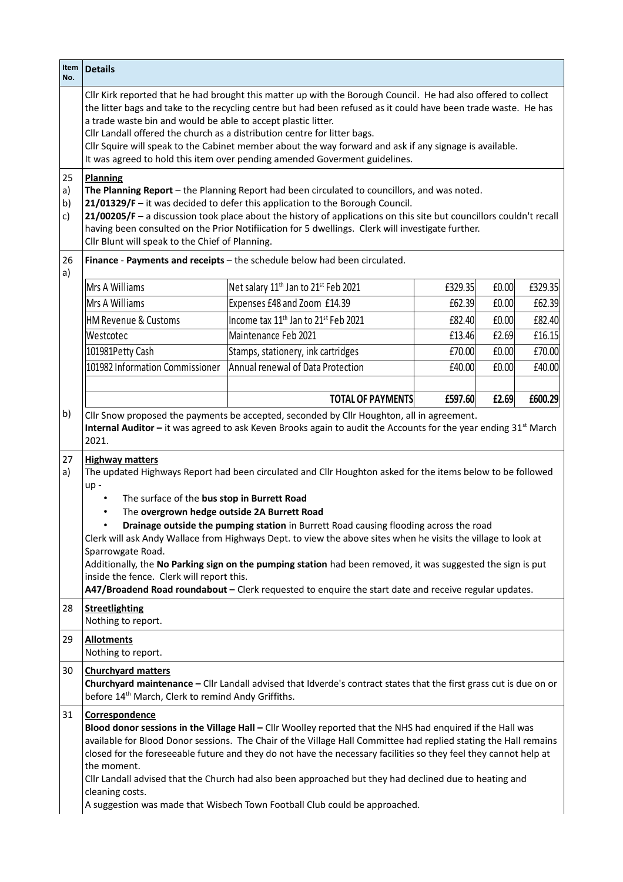| Item<br>No.          | <b>Details</b>                                                                                                                                                                                                                                                                                                                                                                                                                                                                                                                                                                                                                                                                                                                                                                                |                                                                                                                    |         |       |         |  |  |
|----------------------|-----------------------------------------------------------------------------------------------------------------------------------------------------------------------------------------------------------------------------------------------------------------------------------------------------------------------------------------------------------------------------------------------------------------------------------------------------------------------------------------------------------------------------------------------------------------------------------------------------------------------------------------------------------------------------------------------------------------------------------------------------------------------------------------------|--------------------------------------------------------------------------------------------------------------------|---------|-------|---------|--|--|
|                      | Cllr Kirk reported that he had brought this matter up with the Borough Council. He had also offered to collect<br>the litter bags and take to the recycling centre but had been refused as it could have been trade waste. He has<br>a trade waste bin and would be able to accept plastic litter.<br>Cllr Landall offered the church as a distribution centre for litter bags.<br>Cllr Squire will speak to the Cabinet member about the way forward and ask if any signage is available.<br>It was agreed to hold this item over pending amended Goverment guidelines.                                                                                                                                                                                                                      |                                                                                                                    |         |       |         |  |  |
| 25<br>a)<br>b)<br>c) | <b>Planning</b><br>The Planning Report - the Planning Report had been circulated to councillors, and was noted.<br>21/01329/F - it was decided to defer this application to the Borough Council.<br>21/00205/F - a discussion took place about the history of applications on this site but councillors couldn't recall<br>having been consulted on the Prior Notifiication for 5 dwellings. Clerk will investigate further.<br>Cllr Blunt will speak to the Chief of Planning.                                                                                                                                                                                                                                                                                                               |                                                                                                                    |         |       |         |  |  |
| 26<br>a)             |                                                                                                                                                                                                                                                                                                                                                                                                                                                                                                                                                                                                                                                                                                                                                                                               | Finance - Payments and receipts - the schedule below had been circulated.                                          |         |       |         |  |  |
|                      | Mrs A Williams                                                                                                                                                                                                                                                                                                                                                                                                                                                                                                                                                                                                                                                                                                                                                                                | Net salary 11 <sup>th</sup> Jan to 21 <sup>st</sup> Feb 2021                                                       | £329.35 | £0.00 | £329.35 |  |  |
|                      | Mrs A Williams                                                                                                                                                                                                                                                                                                                                                                                                                                                                                                                                                                                                                                                                                                                                                                                | Expenses £48 and Zoom £14.39                                                                                       | £62.39  | £0.00 | £62.39  |  |  |
|                      | <b>HM Revenue &amp; Customs</b>                                                                                                                                                                                                                                                                                                                                                                                                                                                                                                                                                                                                                                                                                                                                                               | Income tax 11 <sup>th</sup> Jan to 21 <sup>st</sup> Feb 2021                                                       | £82.40  | £0.00 | £82.40  |  |  |
|                      | Westcotec                                                                                                                                                                                                                                                                                                                                                                                                                                                                                                                                                                                                                                                                                                                                                                                     | Maintenance Feb 2021                                                                                               | £13.46  | £2.69 | £16.15  |  |  |
|                      | 101981Petty Cash                                                                                                                                                                                                                                                                                                                                                                                                                                                                                                                                                                                                                                                                                                                                                                              | Stamps, stationery, ink cartridges                                                                                 | £70.00  | £0.00 | £70.00  |  |  |
|                      | 101982 Information Commissioner                                                                                                                                                                                                                                                                                                                                                                                                                                                                                                                                                                                                                                                                                                                                                               | Annual renewal of Data Protection                                                                                  | £40.00  | £0.00 | £40.00  |  |  |
|                      |                                                                                                                                                                                                                                                                                                                                                                                                                                                                                                                                                                                                                                                                                                                                                                                               |                                                                                                                    |         |       |         |  |  |
|                      |                                                                                                                                                                                                                                                                                                                                                                                                                                                                                                                                                                                                                                                                                                                                                                                               | <b>TOTAL OF PAYMENTS</b>                                                                                           | £597.60 | £2.69 | £600.29 |  |  |
| 27<br>a)             | 2021.<br><b>Highway matters</b><br>The updated Highways Report had been circulated and Cllr Houghton asked for the items below to be followed<br>up-<br>The surface of the bus stop in Burrett Road<br>$\bullet$<br>The overgrown hedge outside 2A Burrett Road<br>$\bullet$<br>Drainage outside the pumping station in Burrett Road causing flooding across the road<br>$\bullet$<br>Clerk will ask Andy Wallace from Highways Dept. to view the above sites when he visits the village to look at<br>Sparrowgate Road.<br>Additionally, the No Parking sign on the pumping station had been removed, it was suggested the sign is put<br>inside the fence. Clerk will report this.<br>A47/Broadend Road roundabout - Clerk requested to enquire the start date and receive regular updates. |                                                                                                                    |         |       |         |  |  |
| 28                   | <b>Streetlighting</b><br>Nothing to report.                                                                                                                                                                                                                                                                                                                                                                                                                                                                                                                                                                                                                                                                                                                                                   |                                                                                                                    |         |       |         |  |  |
| 29                   | <b>Allotments</b>                                                                                                                                                                                                                                                                                                                                                                                                                                                                                                                                                                                                                                                                                                                                                                             |                                                                                                                    |         |       |         |  |  |
|                      | Nothing to report.                                                                                                                                                                                                                                                                                                                                                                                                                                                                                                                                                                                                                                                                                                                                                                            |                                                                                                                    |         |       |         |  |  |
| 30                   | <b>Churchyard matters</b><br>before 14 <sup>th</sup> March, Clerk to remind Andy Griffiths.                                                                                                                                                                                                                                                                                                                                                                                                                                                                                                                                                                                                                                                                                                   | Churchyard maintenance - Cllr Landall advised that Idverde's contract states that the first grass cut is due on or |         |       |         |  |  |